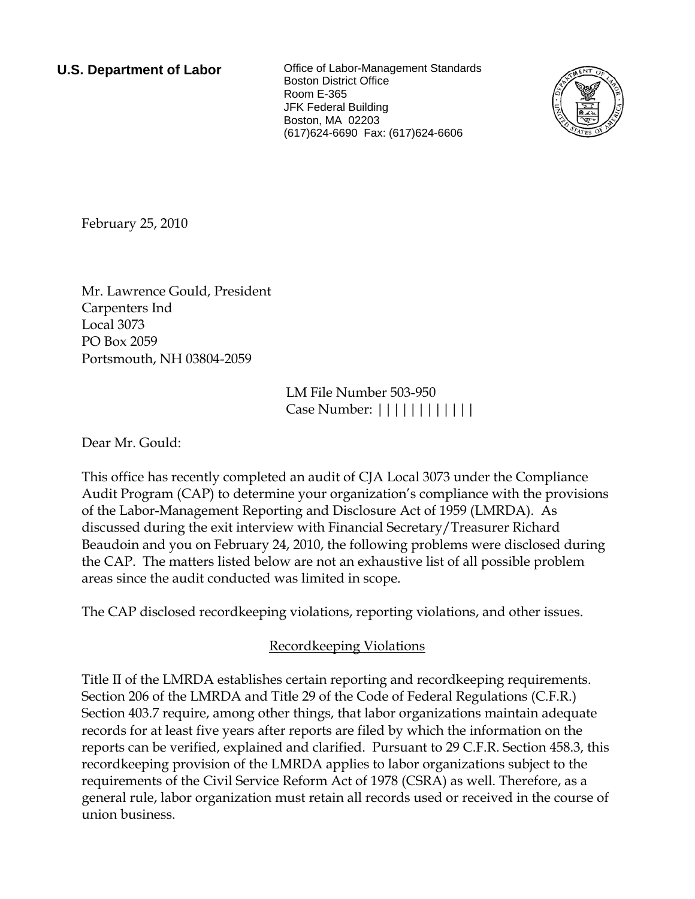**U.S. Department of Labor Conservative Conservation Conservation U.S. Department of Labor** Boston District Office Room E-365 JFK Federal Building Boston, MA 02203 (617)624-6690 Fax: (617)624-6606



<span id="page-0-0"></span>February 25, 2010

[Mr.](#page-0-0) [Lawrence](#page-0-0) [Gould,](#page-0-0) [President](#page-0-0)  [Carpenters Ind](#page-0-0)  [Local 3073](#page-0-0)  [PO Box 2059](#page-0-0)  [Portsmouth, NH 03804-2059](#page-0-0) 

> LM File Number [503-950](#page-0-0)  Case Number: ||||||||||||

Dear [Mr.](#page-0-0) [Gould:](#page-0-0)

This office has recently completed an audit of [CJA Local 3073](#page-0-0) under the Compliance Audit Program (CAP) to determine your organization's compliance with the provisions of the Labor-Management Reporting and Disclosure Act of 1959 (LMRDA). As discussed during the exit interview with [Financial Secretary/Treasurer Richard](#page-0-0)  [Beaudoin and you](#page-0-0) on [February 24, 2010](#page-0-0), the following problems were disclosed during the CAP. The matters listed below are not an exhaustive list of all possible problem areas since the audit conducted was limited in scope.

The CAP disclosed recordkeeping violations, reporting violations, and other issues.

# Recordkeeping Violations

Title II of the LMRDA establishes certain reporting and recordkeeping requirements. Section 206 of the LMRDA and Title 29 of the Code of Federal Regulations (C.F.R.) Section 403.7 require, among other things, that labor organizations maintain adequate records for at least five years after reports are filed by which the information on the reports can be verified, explained and clarified. Pursuant to 29 C.F.R. Section 458.3, this recordkeeping provision of the LMRDA applies to labor organizations subject to the requirements of the Civil Service Reform Act of 1978 (CSRA) as well. Therefore, as a general rule, labor organization must retain all records used or received in the course of union business.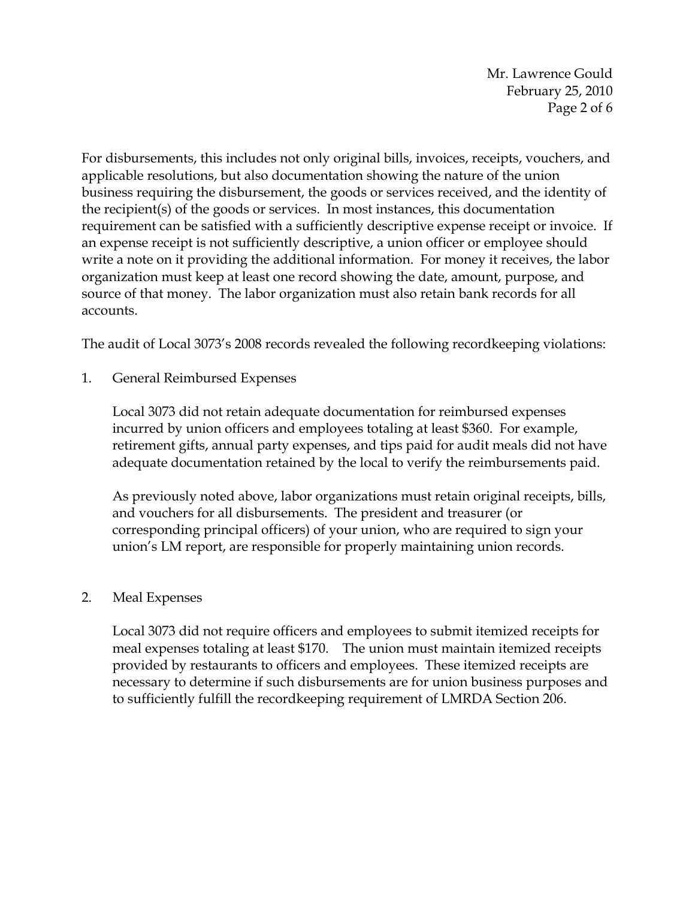Mr. Lawrence Gould February 25, 2010 Page 2 of 6

For disbursements, this includes not only original bills, invoices, receipts, vouchers, and applicable resolutions, but also documentation showing the nature of the union business requiring the disbursement, the goods or services received, and the identity of the recipient(s) of the goods or services. In most instances, this documentation requirement can be satisfied with a sufficiently descriptive expense receipt or invoice. If an expense receipt is not sufficiently descriptive, a union officer or employee should write a note on it providing the additional information. For money it receives, the labor organization must keep at least one record showing the date, amount, purpose, and source of that money. The labor organization must also retain bank records for all accounts.

The audit of Local 3073's 2008 records revealed the following recordkeeping violations:

1. General Reimbursed Expenses

Local 3073 did not retain adequate documentation for reimbursed expenses incurred by union officers and employees totaling at least \$360. For example, retirement gifts, annual party expenses, and tips paid for audit meals did not have adequate documentation retained by the local to verify the reimbursements paid.

As previously noted above, labor organizations must retain original receipts, bills, and vouchers for all disbursements. The president and treasurer (or corresponding principal officers) of your union, who are required to sign your union's LM report, are responsible for properly maintaining union records.

## 2. Meal Expenses

Local 3073 did not require officers and employees to submit itemized receipts for meal expenses totaling at least \$170. The union must maintain itemized receipts provided by restaurants to officers and employees. These itemized receipts are necessary to determine if such disbursements are for union business purposes and to sufficiently fulfill the recordkeeping requirement of LMRDA Section 206.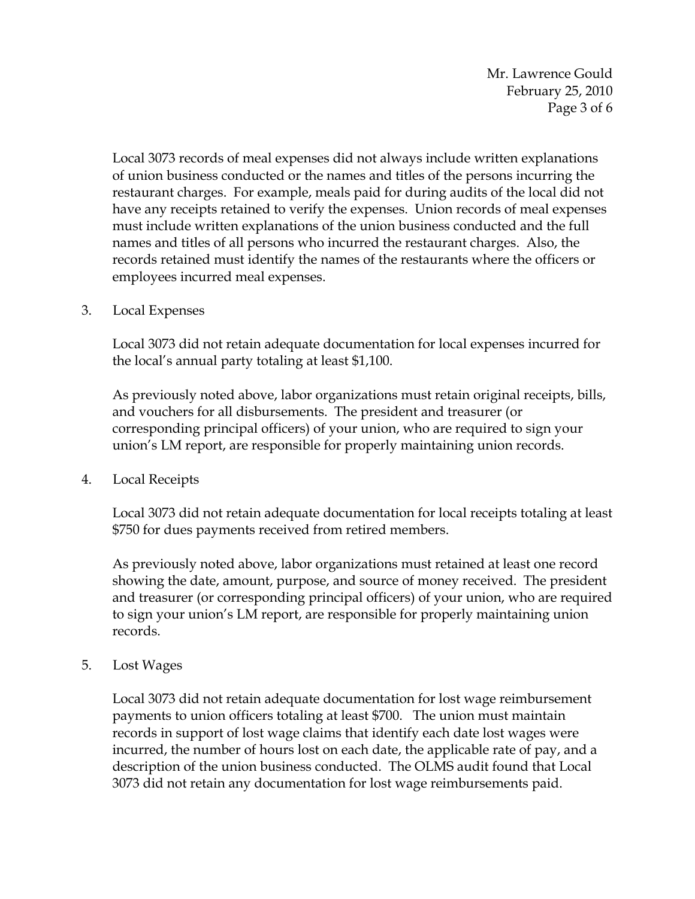Mr. Lawrence Gould February 25, 2010 Page 3 of 6

Local 3073 records of meal expenses did not always include written explanations of union business conducted or the names and titles of the persons incurring the restaurant charges. For example, meals paid for during audits of the local did not have any receipts retained to verify the expenses. Union records of meal expenses must include written explanations of the union business conducted and the full names and titles of all persons who incurred the restaurant charges. Also, the records retained must identify the names of the restaurants where the officers or employees incurred meal expenses.

3. Local Expenses

Local 3073 did not retain adequate documentation for local expenses incurred for the local's annual party totaling at least \$1,100.

As previously noted above, labor organizations must retain original receipts, bills, and vouchers for all disbursements. The president and treasurer (or corresponding principal officers) of your union, who are required to sign your union's LM report, are responsible for properly maintaining union records.

4. Local Receipts

Local 3073 did not retain adequate documentation for local receipts totaling at least \$750 for dues payments received from retired members.

As previously noted above, labor organizations must retained at least one record showing the date, amount, purpose, and source of money received. The president and treasurer (or corresponding principal officers) of your union, who are required to sign your union's LM report, are responsible for properly maintaining union records.

5. Lost Wages

Local 3073 did not retain adequate documentation for lost wage reimbursement payments to union officers totaling at least \$700. The union must maintain records in support of lost wage claims that identify each date lost wages were incurred, the number of hours lost on each date, the applicable rate of pay, and a description of the union business conducted. The OLMS audit found that Local 3073 did not retain any documentation for lost wage reimbursements paid.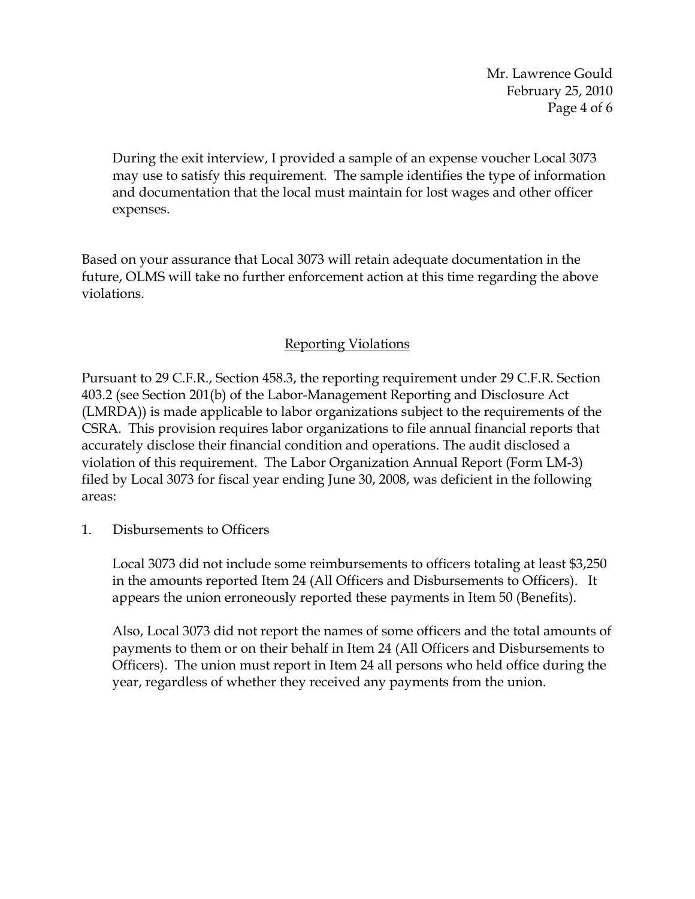Mr. Lawrence Gould February 25, 2010 Page 4 of 6

During the exit interview, I provided a sample of an expense voucher Local 3073 may use to satisfy this requirement. The sample identifies the type of information and documentation that the local must maintain for lost wages and other officer expenses.

Based on your assurance that Local 3073 will retain adequate documentation in the future, OLMS will take no further enforcement action at this time regarding the above violations.

## Reporting Violations

Pursuant to 29 C.F.R., Section 458.3, the reporting requirement under 29 C.F.R. Section 403.2 (see Section 201(b) of the Labor-Management Reporting and Disclosure Act (LMRDA)) is made applicable to labor organizations subject to the requirements of the CSRA. This provision requires labor organizations to file annual financial reports that accurately disclose their financial condition and operations. The audit disclosed a violation of this requirement. The Labor Organization Annual Report (Form LM-3) filed by Local 3073 for fiscal year ending June 30, 2008, was deficient in the following areas:

1. Disbursements to Officers

Local 3073 did not include some reimbursements to officers totaling at least \$3,250 in the amounts reported Item 24 (All Officers and Disbursements to Officers). It appears the union erroneously reported these payments in Item 50 (Benefits).

Also, Local 3073 did not report the names of some officers and the total amounts of payments to them or on their behalf in Item 24 (All Officers and Disbursements to Officers). The union must report in Item 24 all persons who held office during the year, regardless of whether they received any payments from the union.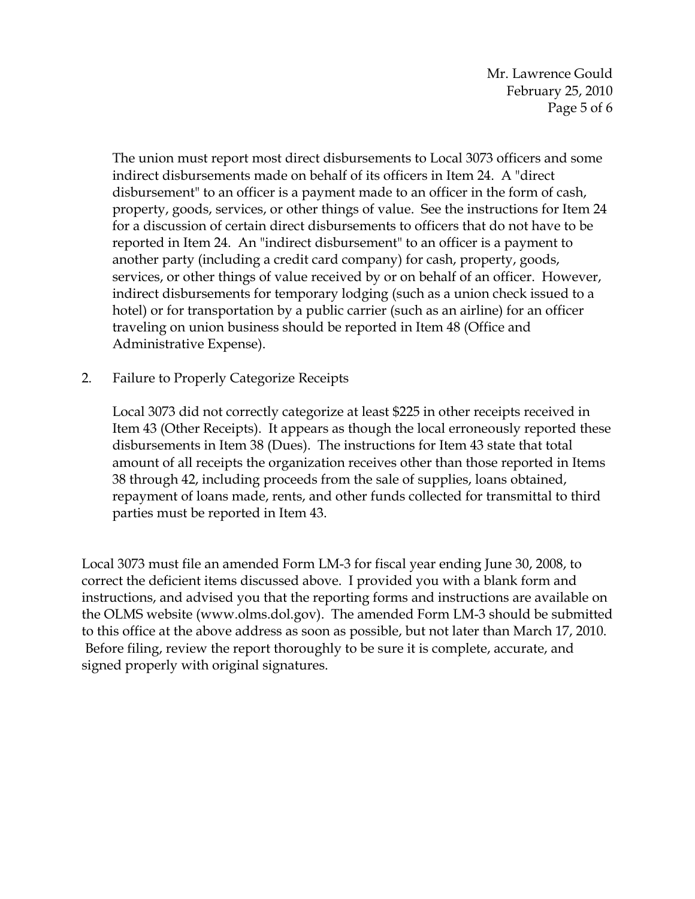Mr. Lawrence Gould February 25, 2010 Page 5 of 6

The union must report most direct disbursements to Local 3073 officers and some indirect disbursements made on behalf of its officers in Item 24. A "direct disbursement" to an officer is a payment made to an officer in the form of cash, property, goods, services, or other things of value. See the instructions for Item 24 for a discussion of certain direct disbursements to officers that do not have to be reported in Item 24. An "indirect disbursement" to an officer is a payment to another party (including a credit card company) for cash, property, goods, services, or other things of value received by or on behalf of an officer. However, indirect disbursements for temporary lodging (such as a union check issued to a hotel) or for transportation by a public carrier (such as an airline) for an officer traveling on union business should be reported in Item 48 (Office and Administrative Expense).

2. Failure to Properly Categorize Receipts

Local 3073 did not correctly categorize at least \$225 in other receipts received in Item 43 (Other Receipts). It appears as though the local erroneously reported these disbursements in Item 38 (Dues). The instructions for Item 43 state that total amount of all receipts the organization receives other than those reported in Items 38 through 42, including proceeds from the sale of supplies, loans obtained, repayment of loans made, rents, and other funds collected for transmittal to third parties must be reported in Item 43.

Local 3073 must file an amended Form LM-3 for fiscal year ending June 30, 2008, to correct the deficient items discussed above. I provided you with a blank form and instructions, and advised you that the reporting forms and instructions are available on the OLMS website (www.olms.dol.gov). The amended Form LM-3 should be submitted to this office at the above address as soon as possible, but not later than March 17, 2010. Before filing, review the report thoroughly to be sure it is complete, accurate, and signed properly with original signatures.